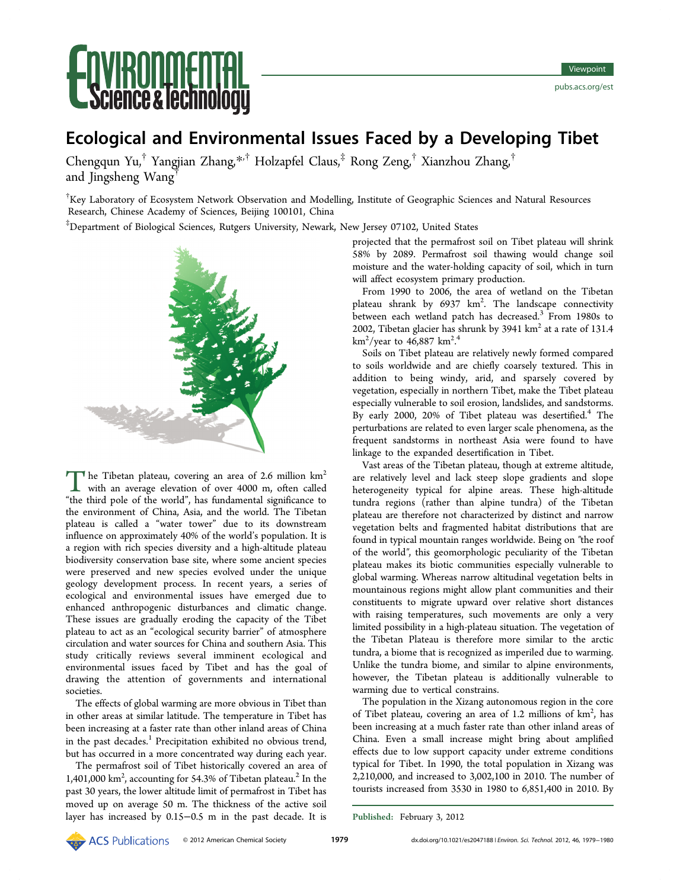

# Ecological and Environmental Issues Faced by a Developing Tibet

Chengqun Yu,† Yangjian Zhang,\*,† Holzapfel Claus,‡ Rong Zeng,† Xianzhou Zhang,† and Jingsheng Wang†

† Key Laboratory of Ecosystem Network Observation and Modelling, Institute of Geographic Sciences and Natural Resources Research, Chinese Academy of Sciences, Beijing 100101, China

‡ Department of Biological Sciences, Rutgers University, Newark, New Jersey 07102, United States



The Tibetan plateau, covering an area of 2.6 million  $km^2$ with an average elevation of over 4000 m, often called "the third pole of the world", has fundamental significance to the environment of China, Asia, and the world. The Tibetan plateau is called a "water tower" due to its downstream influence on approximately 40% of the world's population. It is a region with rich species diversity and a high-altitude plateau biodiversity conservation base site, where some ancient species were preserved and new species evolved under the unique geology development process. In recent years, a series of ecological and environmental issues have emerged due to enhanced anthropogenic disturbances and climatic change. These issues are gradually eroding the capacity of the Tibet plateau to act as an "ecological security barrier" of atmosphere circulation and water sources for China and southern Asia. This study critically reviews several imminent ecological and environmental issues faced by Tibet and has the goal of drawing the attention of governments and international societies.

The effects of global warming are more obvious in Tibet than in other areas at similar latitude. The temperature in Tibet has been increasing at a faster rate than other inland areas of China in the past decades.<sup>1</sup> Precipitation exhibited no obvious trend, but has occurred in a more concentrated way during each year.

The permafrost [so](#page-1-0)il of Tibet historically covered an area of 1,401,000 km<sup>2</sup>, accounting for 54.3% of Tibetan plateau.<sup>2</sup> In the past 30 years, the lower altitude limit of permafrost in Tibet has moved up on average 50 m. The thickness of the ac[tiv](#page-1-0)e soil layer has increased by 0.15−0.5 m in the past decade. It is

projected that the permafrost soil on Tibet plateau will shrink 58% by 2089. Permafrost soil thawing would change soil moisture and the water-holding capacity of soil, which in turn will affect ecosystem primary production.

From 1990 to 2006, the area of wetland on the Tibetan plateau shrank by 6937 km<sup>2</sup>. The landscape connectivity between each wetland patch has decreased.<sup>3</sup> From 1980s to 2002, Tibetan glacier has shrunk by 3941  $km<sup>2</sup>$  at a rate of 131.4  $\rm km^2/year$  to 46,887  $\rm km^2.^4$ .

Soils on Tibet plateau are relatively newly formed compared to soils worldwide and [ar](#page-1-0)e chiefly coarsely textured. This in addition to being windy, arid, and sparsely covered by vegetation, especially in northern Tibet, make the Tibet plateau especially vulnerable to soil erosion, landslides, and sandstorms. By early 2000, 20% of Tibet plateau was desertified.<sup>4</sup> The perturbations are related to even larger scale phenomena, as the frequent sandstorms in northeast Asia were found t[o](#page-1-0) have linkage to the expanded desertification in Tibet.

Vast areas of the Tibetan plateau, though at extreme altitude, are relatively level and lack steep slope gradients and slope heterogeneity typical for alpine areas. These high-altitude tundra regions (rather than alpine tundra) of the Tibetan plateau are therefore not characterized by distinct and narrow vegetation belts and fragmented habitat distributions that are found in typical mountain ranges worldwide. Being on ″the roof of the world″, this geomorphologic peculiarity of the Tibetan plateau makes its biotic communities especially vulnerable to global warming. Whereas narrow altitudinal vegetation belts in mountainous regions might allow plant communities and their constituents to migrate upward over relative short distances with raising temperatures, such movements are only a very limited possibility in a high-plateau situation. The vegetation of the Tibetan Plateau is therefore more similar to the arctic tundra, a biome that is recognized as imperiled due to warming. Unlike the tundra biome, and similar to alpine environments, however, the Tibetan plateau is additionally vulnerable to warming due to vertical constrains.

The population in the Xizang autonomous region in the core of Tibet plateau, covering an area of 1.2 millions of km<sup>2</sup>, has been increasing at a much faster rate than other inland areas of China. Even a small increase might bring about amplified effects due to low support capacity under extreme conditions typical for Tibet. In 1990, the total population in Xizang was 2,210,000, and increased to 3,002,100 in 2010. The number of tourists increased from 3530 in 1980 to 6,851,400 in 2010. By

Published: February 3, 2012